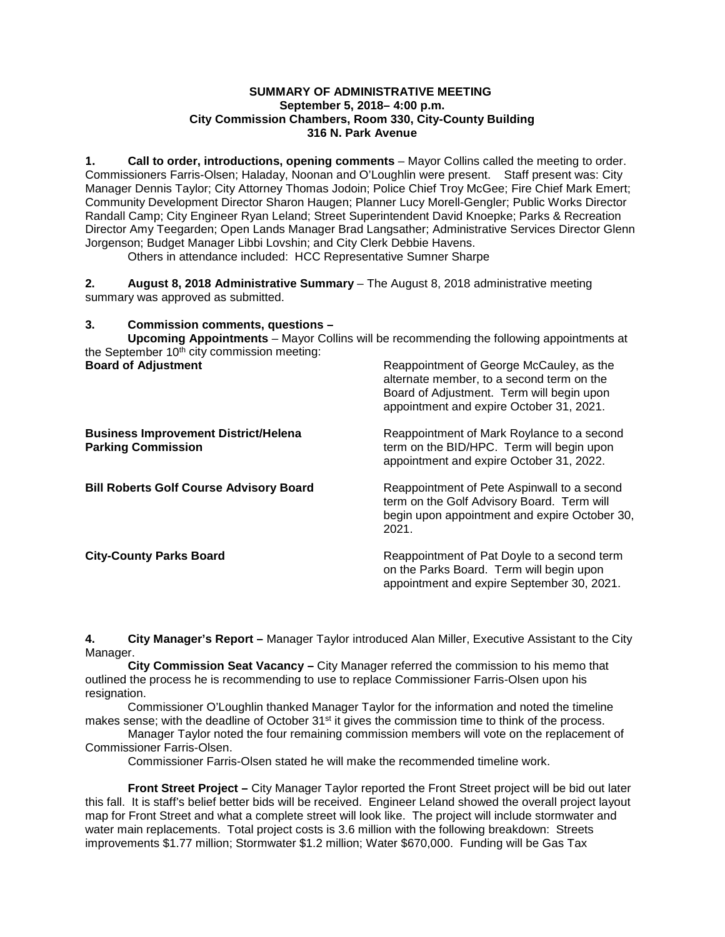### **SUMMARY OF ADMINISTRATIVE MEETING September 5, 2018– 4:00 p.m. City Commission Chambers, Room 330, City-County Building 316 N. Park Avenue**

**1. Call to order, introductions, opening comments** – Mayor Collins called the meeting to order. Commissioners Farris-Olsen; Haladay, Noonan and O'Loughlin were present. Staff present was: City Manager Dennis Taylor; City Attorney Thomas Jodoin; Police Chief Troy McGee; Fire Chief Mark Emert; Community Development Director Sharon Haugen; Planner Lucy Morell-Gengler; Public Works Director Randall Camp; City Engineer Ryan Leland; Street Superintendent David Knoepke; Parks & Recreation Director Amy Teegarden; Open Lands Manager Brad Langsather; Administrative Services Director Glenn Jorgenson; Budget Manager Libbi Lovshin; and City Clerk Debbie Havens.

Others in attendance included: HCC Representative Sumner Sharpe

**2. August 8, 2018 Administrative Summary** – The August 8, 2018 administrative meeting summary was approved as submitted.

# **3. Commission comments, questions –**

**Upcoming Appointments** – Mayor Collins will be recommending the following appointments at the September  $10<sup>th</sup>$  city commission meeting:

| <b>Board of Adjustment</b>                                               | Reappointment of George McCauley, as the<br>alternate member, to a second term on the<br>Board of Adjustment. Term will begin upon<br>appointment and expire October 31, 2021. |
|--------------------------------------------------------------------------|--------------------------------------------------------------------------------------------------------------------------------------------------------------------------------|
| <b>Business Improvement District/Helena</b><br><b>Parking Commission</b> | Reappointment of Mark Roylance to a second<br>term on the BID/HPC. Term will begin upon<br>appointment and expire October 31, 2022.                                            |
| <b>Bill Roberts Golf Course Advisory Board</b>                           | Reappointment of Pete Aspinwall to a second<br>term on the Golf Advisory Board. Term will<br>begin upon appointment and expire October 30,<br>2021.                            |
| <b>City-County Parks Board</b>                                           | Reappointment of Pat Doyle to a second term<br>on the Parks Board. Term will begin upon<br>appointment and expire September 30, 2021.                                          |

**4. City Manager's Report –** Manager Taylor introduced Alan Miller, Executive Assistant to the City Manager.

**City Commission Seat Vacancy –** City Manager referred the commission to his memo that outlined the process he is recommending to use to replace Commissioner Farris-Olsen upon his resignation.

Commissioner O'Loughlin thanked Manager Taylor for the information and noted the timeline makes sense; with the deadline of October 31<sup>st</sup> it gives the commission time to think of the process.

Manager Taylor noted the four remaining commission members will vote on the replacement of Commissioner Farris-Olsen.

Commissioner Farris-Olsen stated he will make the recommended timeline work.

**Front Street Project –** City Manager Taylor reported the Front Street project will be bid out later this fall. It is staff's belief better bids will be received. Engineer Leland showed the overall project layout map for Front Street and what a complete street will look like. The project will include stormwater and water main replacements. Total project costs is 3.6 million with the following breakdown: Streets improvements \$1.77 million; Stormwater \$1.2 million; Water \$670,000. Funding will be Gas Tax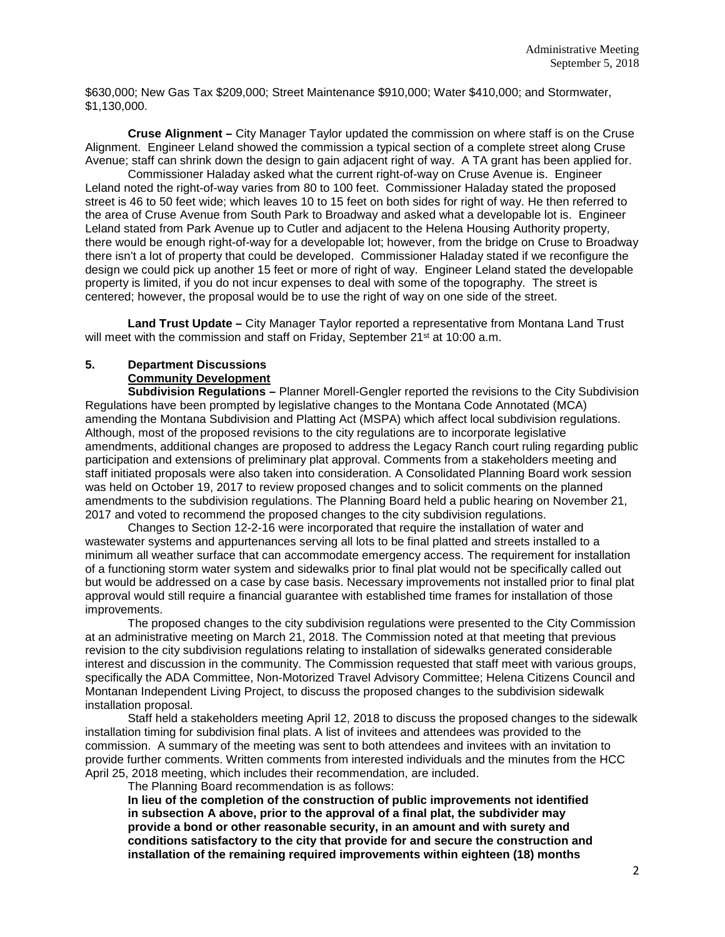\$630,000; New Gas Tax \$209,000; Street Maintenance \$910,000; Water \$410,000; and Stormwater, \$1,130,000.

**Cruse Alignment –** City Manager Taylor updated the commission on where staff is on the Cruse Alignment. Engineer Leland showed the commission a typical section of a complete street along Cruse Avenue; staff can shrink down the design to gain adjacent right of way. A TA grant has been applied for.

Commissioner Haladay asked what the current right-of-way on Cruse Avenue is. Engineer Leland noted the right-of-way varies from 80 to 100 feet. Commissioner Haladay stated the proposed street is 46 to 50 feet wide; which leaves 10 to 15 feet on both sides for right of way. He then referred to the area of Cruse Avenue from South Park to Broadway and asked what a developable lot is. Engineer Leland stated from Park Avenue up to Cutler and adjacent to the Helena Housing Authority property, there would be enough right-of-way for a developable lot; however, from the bridge on Cruse to Broadway there isn't a lot of property that could be developed. Commissioner Haladay stated if we reconfigure the design we could pick up another 15 feet or more of right of way. Engineer Leland stated the developable property is limited, if you do not incur expenses to deal with some of the topography. The street is centered; however, the proposal would be to use the right of way on one side of the street.

**Land Trust Update –** City Manager Taylor reported a representative from Montana Land Trust will meet with the commission and staff on Friday, September 21<sup>st</sup> at 10:00 a.m.

# **5. Department Discussions Community Development**

**Subdivision Regulations –** Planner Morell-Gengler reported the revisions to the City Subdivision Regulations have been prompted by legislative changes to the Montana Code Annotated (MCA) amending the Montana Subdivision and Platting Act (MSPA) which affect local subdivision regulations. Although, most of the proposed revisions to the city regulations are to incorporate legislative amendments, additional changes are proposed to address the Legacy Ranch court ruling regarding public participation and extensions of preliminary plat approval. Comments from a stakeholders meeting and staff initiated proposals were also taken into consideration. A Consolidated Planning Board work session was held on October 19, 2017 to review proposed changes and to solicit comments on the planned amendments to the subdivision regulations. The Planning Board held a public hearing on November 21, 2017 and voted to recommend the proposed changes to the city subdivision regulations.

Changes to Section 12-2-16 were incorporated that require the installation of water and wastewater systems and appurtenances serving all lots to be final platted and streets installed to a minimum all weather surface that can accommodate emergency access. The requirement for installation of a functioning storm water system and sidewalks prior to final plat would not be specifically called out but would be addressed on a case by case basis. Necessary improvements not installed prior to final plat approval would still require a financial guarantee with established time frames for installation of those improvements.

The proposed changes to the city subdivision regulations were presented to the City Commission at an administrative meeting on March 21, 2018. The Commission noted at that meeting that previous revision to the city subdivision regulations relating to installation of sidewalks generated considerable interest and discussion in the community. The Commission requested that staff meet with various groups, specifically the ADA Committee, Non-Motorized Travel Advisory Committee; Helena Citizens Council and Montanan Independent Living Project, to discuss the proposed changes to the subdivision sidewalk installation proposal.

Staff held a stakeholders meeting April 12, 2018 to discuss the proposed changes to the sidewalk installation timing for subdivision final plats. A list of invitees and attendees was provided to the commission. A summary of the meeting was sent to both attendees and invitees with an invitation to provide further comments. Written comments from interested individuals and the minutes from the HCC April 25, 2018 meeting, which includes their recommendation, are included.

The Planning Board recommendation is as follows:

**In lieu of the completion of the construction of public improvements not identified in subsection A above, prior to the approval of a final plat, the subdivider may provide a bond or other reasonable security, in an amount and with surety and conditions satisfactory to the city that provide for and secure the construction and installation of the remaining required improvements within eighteen (18) months**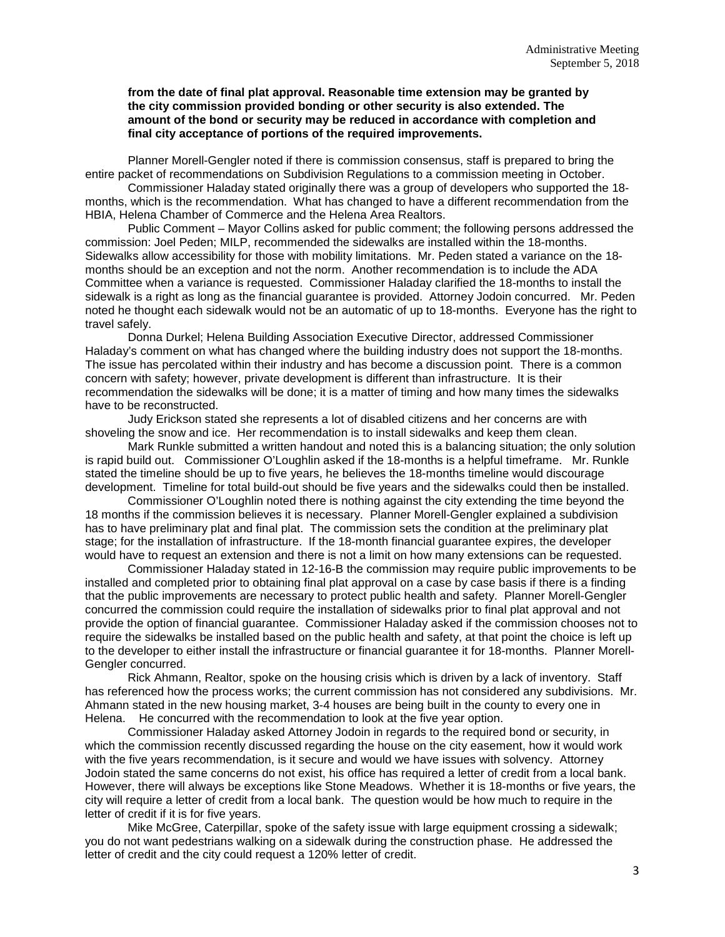#### **from the date of final plat approval. Reasonable time extension may be granted by the city commission provided bonding or other security is also extended. The amount of the bond or security may be reduced in accordance with completion and final city acceptance of portions of the required improvements.**

Planner Morell-Gengler noted if there is commission consensus, staff is prepared to bring the entire packet of recommendations on Subdivision Regulations to a commission meeting in October.

Commissioner Haladay stated originally there was a group of developers who supported the 18 months, which is the recommendation. What has changed to have a different recommendation from the HBIA, Helena Chamber of Commerce and the Helena Area Realtors.

Public Comment – Mayor Collins asked for public comment; the following persons addressed the commission: Joel Peden; MILP, recommended the sidewalks are installed within the 18-months. Sidewalks allow accessibility for those with mobility limitations. Mr. Peden stated a variance on the 18 months should be an exception and not the norm. Another recommendation is to include the ADA Committee when a variance is requested. Commissioner Haladay clarified the 18-months to install the sidewalk is a right as long as the financial guarantee is provided. Attorney Jodoin concurred. Mr. Peden noted he thought each sidewalk would not be an automatic of up to 18-months. Everyone has the right to travel safely.

Donna Durkel; Helena Building Association Executive Director, addressed Commissioner Haladay's comment on what has changed where the building industry does not support the 18-months. The issue has percolated within their industry and has become a discussion point. There is a common concern with safety; however, private development is different than infrastructure. It is their recommendation the sidewalks will be done; it is a matter of timing and how many times the sidewalks have to be reconstructed.

Judy Erickson stated she represents a lot of disabled citizens and her concerns are with shoveling the snow and ice. Her recommendation is to install sidewalks and keep them clean.

Mark Runkle submitted a written handout and noted this is a balancing situation; the only solution is rapid build out. Commissioner O'Loughlin asked if the 18-months is a helpful timeframe. Mr. Runkle stated the timeline should be up to five years, he believes the 18-months timeline would discourage development. Timeline for total build-out should be five years and the sidewalks could then be installed.

Commissioner O'Loughlin noted there is nothing against the city extending the time beyond the 18 months if the commission believes it is necessary. Planner Morell-Gengler explained a subdivision has to have preliminary plat and final plat. The commission sets the condition at the preliminary plat stage; for the installation of infrastructure. If the 18-month financial guarantee expires, the developer would have to request an extension and there is not a limit on how many extensions can be requested.

Commissioner Haladay stated in 12-16-B the commission may require public improvements to be installed and completed prior to obtaining final plat approval on a case by case basis if there is a finding that the public improvements are necessary to protect public health and safety. Planner Morell-Gengler concurred the commission could require the installation of sidewalks prior to final plat approval and not provide the option of financial guarantee. Commissioner Haladay asked if the commission chooses not to require the sidewalks be installed based on the public health and safety, at that point the choice is left up to the developer to either install the infrastructure or financial guarantee it for 18-months. Planner Morell-Gengler concurred.

Rick Ahmann, Realtor, spoke on the housing crisis which is driven by a lack of inventory. Staff has referenced how the process works; the current commission has not considered any subdivisions. Mr. Ahmann stated in the new housing market, 3-4 houses are being built in the county to every one in Helena. He concurred with the recommendation to look at the five year option.

Commissioner Haladay asked Attorney Jodoin in regards to the required bond or security, in which the commission recently discussed regarding the house on the city easement, how it would work with the five years recommendation, is it secure and would we have issues with solvency. Attorney Jodoin stated the same concerns do not exist, his office has required a letter of credit from a local bank. However, there will always be exceptions like Stone Meadows. Whether it is 18-months or five years, the city will require a letter of credit from a local bank. The question would be how much to require in the letter of credit if it is for five years.

Mike McGree, Caterpillar, spoke of the safety issue with large equipment crossing a sidewalk; you do not want pedestrians walking on a sidewalk during the construction phase. He addressed the letter of credit and the city could request a 120% letter of credit.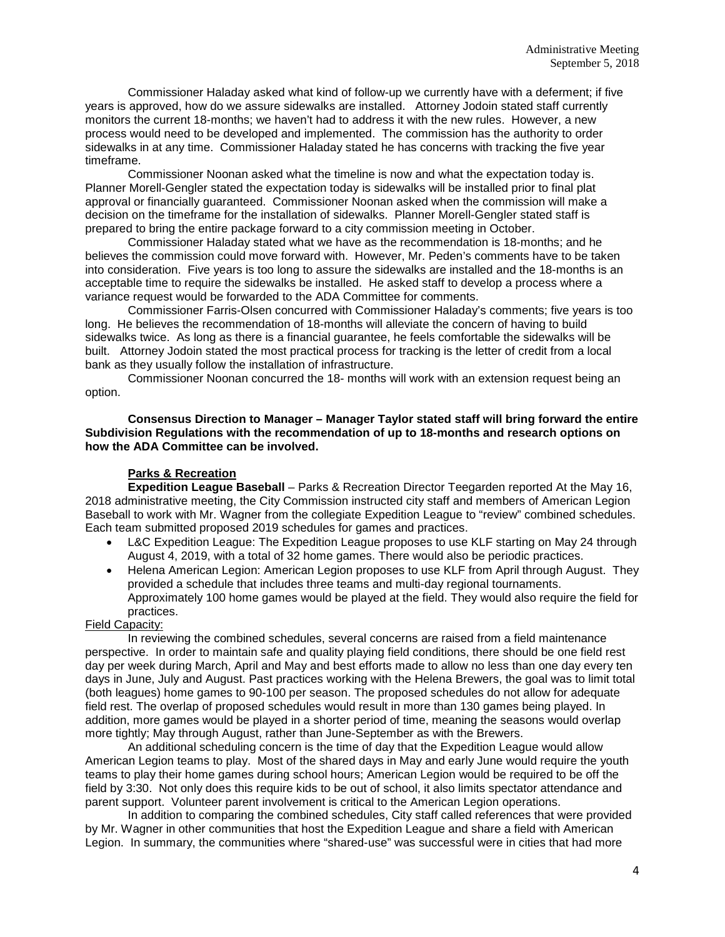Commissioner Haladay asked what kind of follow-up we currently have with a deferment; if five years is approved, how do we assure sidewalks are installed. Attorney Jodoin stated staff currently monitors the current 18-months; we haven't had to address it with the new rules. However, a new process would need to be developed and implemented. The commission has the authority to order sidewalks in at any time. Commissioner Haladay stated he has concerns with tracking the five year timeframe.

Commissioner Noonan asked what the timeline is now and what the expectation today is. Planner Morell-Gengler stated the expectation today is sidewalks will be installed prior to final plat approval or financially guaranteed. Commissioner Noonan asked when the commission will make a decision on the timeframe for the installation of sidewalks. Planner Morell-Gengler stated staff is prepared to bring the entire package forward to a city commission meeting in October.

Commissioner Haladay stated what we have as the recommendation is 18-months; and he believes the commission could move forward with. However, Mr. Peden's comments have to be taken into consideration. Five years is too long to assure the sidewalks are installed and the 18-months is an acceptable time to require the sidewalks be installed. He asked staff to develop a process where a variance request would be forwarded to the ADA Committee for comments.

Commissioner Farris-Olsen concurred with Commissioner Haladay's comments; five years is too long. He believes the recommendation of 18-months will alleviate the concern of having to build sidewalks twice. As long as there is a financial guarantee, he feels comfortable the sidewalks will be built. Attorney Jodoin stated the most practical process for tracking is the letter of credit from a local bank as they usually follow the installation of infrastructure.

Commissioner Noonan concurred the 18- months will work with an extension request being an option.

**Consensus Direction to Manager – Manager Taylor stated staff will bring forward the entire Subdivision Regulations with the recommendation of up to 18-months and research options on how the ADA Committee can be involved.** 

## **Parks & Recreation**

**Expedition League Baseball** – Parks & Recreation Director Teegarden reported At the May 16, 2018 administrative meeting, the City Commission instructed city staff and members of American Legion Baseball to work with Mr. Wagner from the collegiate Expedition League to "review" combined schedules. Each team submitted proposed 2019 schedules for games and practices.

- L&C Expedition League: The Expedition League proposes to use KLF starting on May 24 through August 4, 2019, with a total of 32 home games. There would also be periodic practices.
- Helena American Legion: American Legion proposes to use KLF from April through August. They provided a schedule that includes three teams and multi-day regional tournaments. Approximately 100 home games would be played at the field. They would also require the field for practices.

## Field Capacity:

In reviewing the combined schedules, several concerns are raised from a field maintenance perspective. In order to maintain safe and quality playing field conditions, there should be one field rest day per week during March, April and May and best efforts made to allow no less than one day every ten days in June, July and August. Past practices working with the Helena Brewers, the goal was to limit total (both leagues) home games to 90-100 per season. The proposed schedules do not allow for adequate field rest. The overlap of proposed schedules would result in more than 130 games being played. In addition, more games would be played in a shorter period of time, meaning the seasons would overlap more tightly; May through August, rather than June-September as with the Brewers.

An additional scheduling concern is the time of day that the Expedition League would allow American Legion teams to play. Most of the shared days in May and early June would require the youth teams to play their home games during school hours; American Legion would be required to be off the field by 3:30. Not only does this require kids to be out of school, it also limits spectator attendance and parent support. Volunteer parent involvement is critical to the American Legion operations.

In addition to comparing the combined schedules, City staff called references that were provided by Mr. Wagner in other communities that host the Expedition League and share a field with American Legion. In summary, the communities where "shared-use" was successful were in cities that had more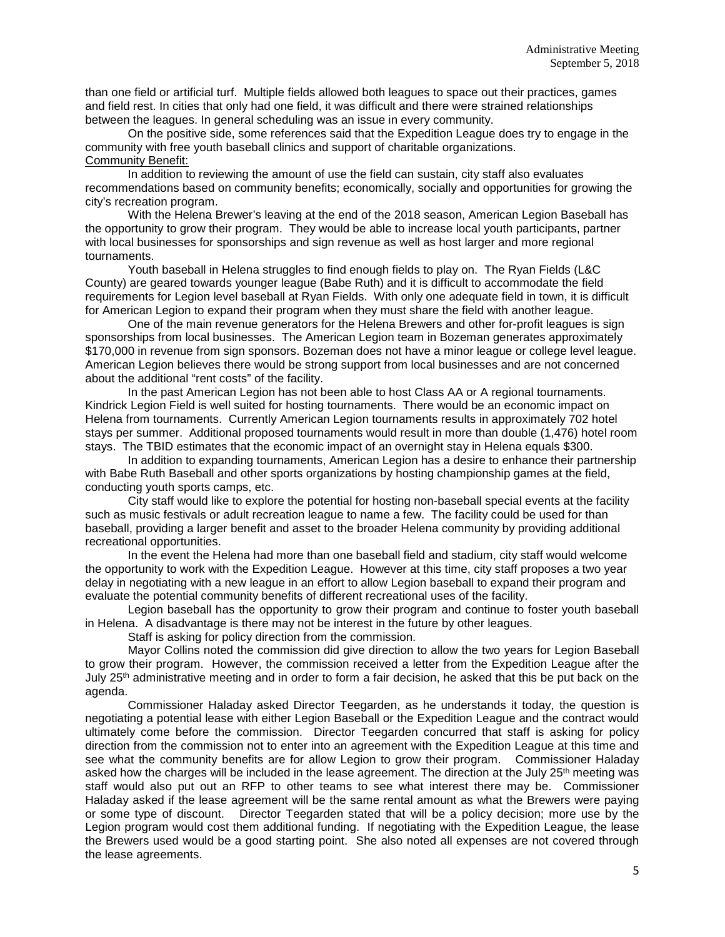than one field or artificial turf. Multiple fields allowed both leagues to space out their practices, games and field rest. In cities that only had one field, it was difficult and there were strained relationships between the leagues. In general scheduling was an issue in every community.

On the positive side, some references said that the Expedition League does try to engage in the community with free youth baseball clinics and support of charitable organizations. Community Benefit:

In addition to reviewing the amount of use the field can sustain, city staff also evaluates recommendations based on community benefits; economically, socially and opportunities for growing the city's recreation program.

With the Helena Brewer's leaving at the end of the 2018 season, American Legion Baseball has the opportunity to grow their program. They would be able to increase local youth participants, partner with local businesses for sponsorships and sign revenue as well as host larger and more regional tournaments.

Youth baseball in Helena struggles to find enough fields to play on. The Ryan Fields (L&C County) are geared towards younger league (Babe Ruth) and it is difficult to accommodate the field requirements for Legion level baseball at Ryan Fields. With only one adequate field in town, it is difficult for American Legion to expand their program when they must share the field with another league.

One of the main revenue generators for the Helena Brewers and other for-profit leagues is sign sponsorships from local businesses. The American Legion team in Bozeman generates approximately \$170,000 in revenue from sign sponsors. Bozeman does not have a minor league or college level league. American Legion believes there would be strong support from local businesses and are not concerned about the additional "rent costs" of the facility.

In the past American Legion has not been able to host Class AA or A regional tournaments. Kindrick Legion Field is well suited for hosting tournaments. There would be an economic impact on Helena from tournaments. Currently American Legion tournaments results in approximately 702 hotel stays per summer. Additional proposed tournaments would result in more than double (1,476) hotel room stays. The TBID estimates that the economic impact of an overnight stay in Helena equals \$300.

In addition to expanding tournaments, American Legion has a desire to enhance their partnership with Babe Ruth Baseball and other sports organizations by hosting championship games at the field, conducting youth sports camps, etc.

City staff would like to explore the potential for hosting non-baseball special events at the facility such as music festivals or adult recreation league to name a few. The facility could be used for than baseball, providing a larger benefit and asset to the broader Helena community by providing additional recreational opportunities.

In the event the Helena had more than one baseball field and stadium, city staff would welcome the opportunity to work with the Expedition League. However at this time, city staff proposes a two year delay in negotiating with a new league in an effort to allow Legion baseball to expand their program and evaluate the potential community benefits of different recreational uses of the facility.

Legion baseball has the opportunity to grow their program and continue to foster youth baseball in Helena. A disadvantage is there may not be interest in the future by other leagues.

Staff is asking for policy direction from the commission.

Mayor Collins noted the commission did give direction to allow the two years for Legion Baseball to grow their program. However, the commission received a letter from the Expedition League after the July 25<sup>th</sup> administrative meeting and in order to form a fair decision, he asked that this be put back on the agenda.

Commissioner Haladay asked Director Teegarden, as he understands it today, the question is negotiating a potential lease with either Legion Baseball or the Expedition League and the contract would ultimately come before the commission. Director Teegarden concurred that staff is asking for policy direction from the commission not to enter into an agreement with the Expedition League at this time and see what the community benefits are for allow Legion to grow their program. Commissioner Haladay asked how the charges will be included in the lease agreement. The direction at the July 25<sup>th</sup> meeting was staff would also put out an RFP to other teams to see what interest there may be. Commissioner Haladay asked if the lease agreement will be the same rental amount as what the Brewers were paying or some type of discount. Director Teegarden stated that will be a policy decision; more use by the Legion program would cost them additional funding. If negotiating with the Expedition League, the lease the Brewers used would be a good starting point. She also noted all expenses are not covered through the lease agreements.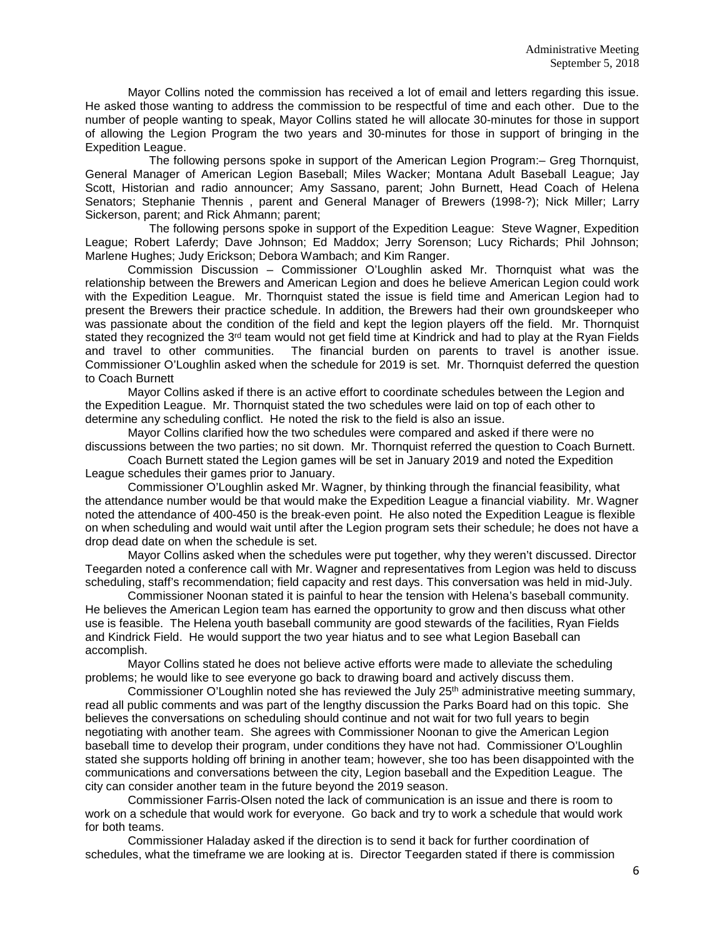Mayor Collins noted the commission has received a lot of email and letters regarding this issue. He asked those wanting to address the commission to be respectful of time and each other. Due to the number of people wanting to speak, Mayor Collins stated he will allocate 30-minutes for those in support of allowing the Legion Program the two years and 30-minutes for those in support of bringing in the Expedition League.

The following persons spoke in support of the American Legion Program:– Greg Thornquist, General Manager of American Legion Baseball; Miles Wacker; Montana Adult Baseball League; Jay Scott, Historian and radio announcer; Amy Sassano, parent; John Burnett, Head Coach of Helena Senators; Stephanie Thennis , parent and General Manager of Brewers (1998-?); Nick Miller; Larry Sickerson, parent; and Rick Ahmann; parent;

The following persons spoke in support of the Expedition League: Steve Wagner, Expedition League; Robert Laferdy; Dave Johnson; Ed Maddox; Jerry Sorenson; Lucy Richards; Phil Johnson; Marlene Hughes; Judy Erickson; Debora Wambach; and Kim Ranger.

Commission Discussion – Commissioner O'Loughlin asked Mr. Thornquist what was the relationship between the Brewers and American Legion and does he believe American Legion could work with the Expedition League. Mr. Thornquist stated the issue is field time and American Legion had to present the Brewers their practice schedule. In addition, the Brewers had their own groundskeeper who was passionate about the condition of the field and kept the legion players off the field. Mr. Thornquist stated they recognized the 3<sup>rd</sup> team would not get field time at Kindrick and had to play at the Ryan Fields and travel to other communities. The financial burden on parents to travel is another issue. Commissioner O'Loughlin asked when the schedule for 2019 is set. Mr. Thornquist deferred the question to Coach Burnett

Mayor Collins asked if there is an active effort to coordinate schedules between the Legion and the Expedition League. Mr. Thornquist stated the two schedules were laid on top of each other to determine any scheduling conflict. He noted the risk to the field is also an issue.

Mayor Collins clarified how the two schedules were compared and asked if there were no discussions between the two parties; no sit down. Mr. Thornquist referred the question to Coach Burnett.

Coach Burnett stated the Legion games will be set in January 2019 and noted the Expedition League schedules their games prior to January.

Commissioner O'Loughlin asked Mr. Wagner, by thinking through the financial feasibility, what the attendance number would be that would make the Expedition League a financial viability. Mr. Wagner noted the attendance of 400-450 is the break-even point. He also noted the Expedition League is flexible on when scheduling and would wait until after the Legion program sets their schedule; he does not have a drop dead date on when the schedule is set.

Mayor Collins asked when the schedules were put together, why they weren't discussed. Director Teegarden noted a conference call with Mr. Wagner and representatives from Legion was held to discuss scheduling, staff's recommendation; field capacity and rest days. This conversation was held in mid-July.

Commissioner Noonan stated it is painful to hear the tension with Helena's baseball community. He believes the American Legion team has earned the opportunity to grow and then discuss what other use is feasible. The Helena youth baseball community are good stewards of the facilities, Ryan Fields and Kindrick Field. He would support the two year hiatus and to see what Legion Baseball can accomplish.

Mayor Collins stated he does not believe active efforts were made to alleviate the scheduling problems; he would like to see everyone go back to drawing board and actively discuss them.

Commissioner O'Loughlin noted she has reviewed the July 25<sup>th</sup> administrative meeting summary, read all public comments and was part of the lengthy discussion the Parks Board had on this topic. She believes the conversations on scheduling should continue and not wait for two full years to begin negotiating with another team. She agrees with Commissioner Noonan to give the American Legion baseball time to develop their program, under conditions they have not had. Commissioner O'Loughlin stated she supports holding off brining in another team; however, she too has been disappointed with the communications and conversations between the city, Legion baseball and the Expedition League. The city can consider another team in the future beyond the 2019 season.

Commissioner Farris-Olsen noted the lack of communication is an issue and there is room to work on a schedule that would work for everyone. Go back and try to work a schedule that would work for both teams.

Commissioner Haladay asked if the direction is to send it back for further coordination of schedules, what the timeframe we are looking at is. Director Teegarden stated if there is commission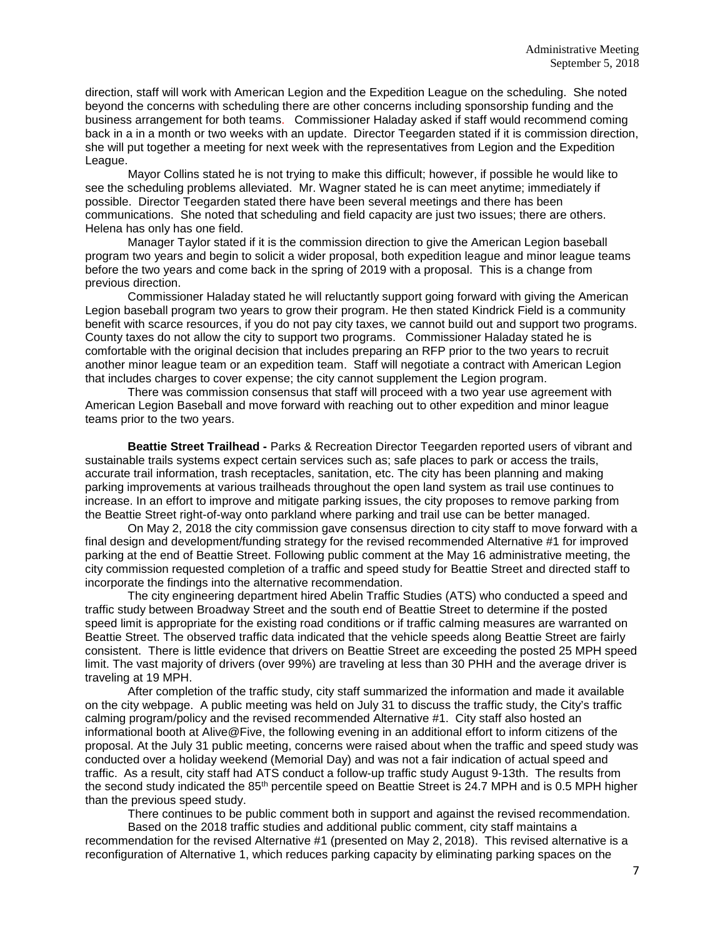direction, staff will work with American Legion and the Expedition League on the scheduling. She noted beyond the concerns with scheduling there are other concerns including sponsorship funding and the business arrangement for both teams. Commissioner Haladay asked if staff would recommend coming back in a in a month or two weeks with an update. Director Teegarden stated if it is commission direction, she will put together a meeting for next week with the representatives from Legion and the Expedition League.

Mayor Collins stated he is not trying to make this difficult; however, if possible he would like to see the scheduling problems alleviated. Mr. Wagner stated he is can meet anytime; immediately if possible. Director Teegarden stated there have been several meetings and there has been communications. She noted that scheduling and field capacity are just two issues; there are others. Helena has only has one field.

Manager Taylor stated if it is the commission direction to give the American Legion baseball program two years and begin to solicit a wider proposal, both expedition league and minor league teams before the two years and come back in the spring of 2019 with a proposal. This is a change from previous direction.

Commissioner Haladay stated he will reluctantly support going forward with giving the American Legion baseball program two years to grow their program. He then stated Kindrick Field is a community benefit with scarce resources, if you do not pay city taxes, we cannot build out and support two programs. County taxes do not allow the city to support two programs. Commissioner Haladay stated he is comfortable with the original decision that includes preparing an RFP prior to the two years to recruit another minor league team or an expedition team. Staff will negotiate a contract with American Legion that includes charges to cover expense; the city cannot supplement the Legion program.

There was commission consensus that staff will proceed with a two year use agreement with American Legion Baseball and move forward with reaching out to other expedition and minor league teams prior to the two years.

**Beattie Street Trailhead -** Parks & Recreation Director Teegarden reported users of vibrant and sustainable trails systems expect certain services such as; safe places to park or access the trails, accurate trail information, trash receptacles, sanitation, etc. The city has been planning and making parking improvements at various trailheads throughout the open land system as trail use continues to increase. In an effort to improve and mitigate parking issues, the city proposes to remove parking from the Beattie Street right-of-way onto parkland where parking and trail use can be better managed.

On May 2, 2018 the city commission gave consensus direction to city staff to move forward with a final design and development/funding strategy for the revised recommended Alternative #1 for improved parking at the end of Beattie Street. Following public comment at the May 16 administrative meeting, the city commission requested completion of a traffic and speed study for Beattie Street and directed staff to incorporate the findings into the alternative recommendation.

The city engineering department hired Abelin Traffic Studies (ATS) who conducted a speed and traffic study between Broadway Street and the south end of Beattie Street to determine if the posted speed limit is appropriate for the existing road conditions or if traffic calming measures are warranted on Beattie Street. The observed traffic data indicated that the vehicle speeds along Beattie Street are fairly consistent. There is little evidence that drivers on Beattie Street are exceeding the posted 25 MPH speed limit. The vast majority of drivers (over 99%) are traveling at less than 30 PHH and the average driver is traveling at 19 MPH.

After completion of the traffic study, city staff summarized the information and made it available on the city webpage. A public meeting was held on July 31 to discuss the traffic study, the City's traffic calming program/policy and the revised recommended Alternative #1. City staff also hosted an informational booth at Alive@Five, the following evening in an additional effort to inform citizens of the proposal. At the July 31 public meeting, concerns were raised about when the traffic and speed study was conducted over a holiday weekend (Memorial Day) and was not a fair indication of actual speed and traffic. As a result, city staff had ATS conduct a follow-up traffic study August 9-13th. The results from the second study indicated the 85<sup>th</sup> percentile speed on Beattie Street is 24.7 MPH and is 0.5 MPH higher than the previous speed study.

There continues to be public comment both in support and against the revised recommendation.

Based on the 2018 traffic studies and additional public comment, city staff maintains a recommendation for the revised Alternative #1 (presented on May 2, 2018). This revised alternative is a reconfiguration of Alternative 1, which reduces parking capacity by eliminating parking spaces on the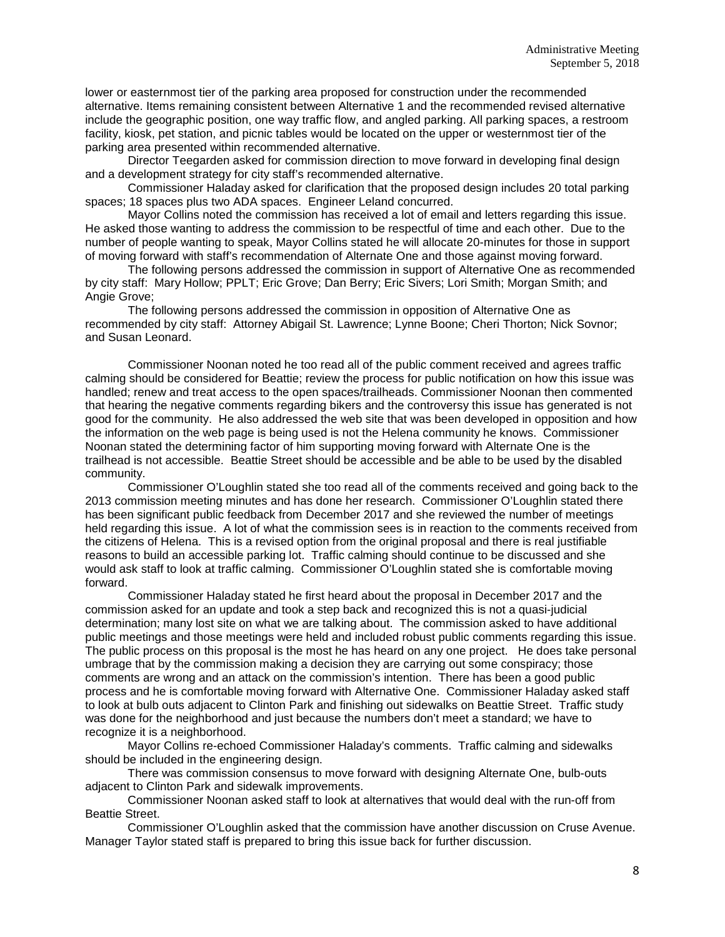lower or easternmost tier of the parking area proposed for construction under the recommended alternative. Items remaining consistent between Alternative 1 and the recommended revised alternative include the geographic position, one way traffic flow, and angled parking. All parking spaces, a restroom facility, kiosk, pet station, and picnic tables would be located on the upper or westernmost tier of the parking area presented within recommended alternative.

Director Teegarden asked for commission direction to move forward in developing final design and a development strategy for city staff's recommended alternative.

Commissioner Haladay asked for clarification that the proposed design includes 20 total parking spaces; 18 spaces plus two ADA spaces. Engineer Leland concurred.

Mayor Collins noted the commission has received a lot of email and letters regarding this issue. He asked those wanting to address the commission to be respectful of time and each other. Due to the number of people wanting to speak, Mayor Collins stated he will allocate 20-minutes for those in support of moving forward with staff's recommendation of Alternate One and those against moving forward.

The following persons addressed the commission in support of Alternative One as recommended by city staff: Mary Hollow; PPLT; Eric Grove; Dan Berry; Eric Sivers; Lori Smith; Morgan Smith; and Angie Grove;

The following persons addressed the commission in opposition of Alternative One as recommended by city staff: Attorney Abigail St. Lawrence; Lynne Boone; Cheri Thorton; Nick Sovnor; and Susan Leonard.

Commissioner Noonan noted he too read all of the public comment received and agrees traffic calming should be considered for Beattie; review the process for public notification on how this issue was handled; renew and treat access to the open spaces/trailheads. Commissioner Noonan then commented that hearing the negative comments regarding bikers and the controversy this issue has generated is not good for the community. He also addressed the web site that was been developed in opposition and how the information on the web page is being used is not the Helena community he knows. Commissioner Noonan stated the determining factor of him supporting moving forward with Alternate One is the trailhead is not accessible. Beattie Street should be accessible and be able to be used by the disabled community.

Commissioner O'Loughlin stated she too read all of the comments received and going back to the 2013 commission meeting minutes and has done her research. Commissioner O'Loughlin stated there has been significant public feedback from December 2017 and she reviewed the number of meetings held regarding this issue. A lot of what the commission sees is in reaction to the comments received from the citizens of Helena. This is a revised option from the original proposal and there is real justifiable reasons to build an accessible parking lot. Traffic calming should continue to be discussed and she would ask staff to look at traffic calming. Commissioner O'Loughlin stated she is comfortable moving forward.

Commissioner Haladay stated he first heard about the proposal in December 2017 and the commission asked for an update and took a step back and recognized this is not a quasi-judicial determination; many lost site on what we are talking about. The commission asked to have additional public meetings and those meetings were held and included robust public comments regarding this issue. The public process on this proposal is the most he has heard on any one project. He does take personal umbrage that by the commission making a decision they are carrying out some conspiracy; those comments are wrong and an attack on the commission's intention. There has been a good public process and he is comfortable moving forward with Alternative One. Commissioner Haladay asked staff to look at bulb outs adjacent to Clinton Park and finishing out sidewalks on Beattie Street. Traffic study was done for the neighborhood and just because the numbers don't meet a standard; we have to recognize it is a neighborhood.

Mayor Collins re-echoed Commissioner Haladay's comments. Traffic calming and sidewalks should be included in the engineering design.

There was commission consensus to move forward with designing Alternate One, bulb-outs adjacent to Clinton Park and sidewalk improvements.

Commissioner Noonan asked staff to look at alternatives that would deal with the run-off from Beattie Street.

Commissioner O'Loughlin asked that the commission have another discussion on Cruse Avenue. Manager Taylor stated staff is prepared to bring this issue back for further discussion.